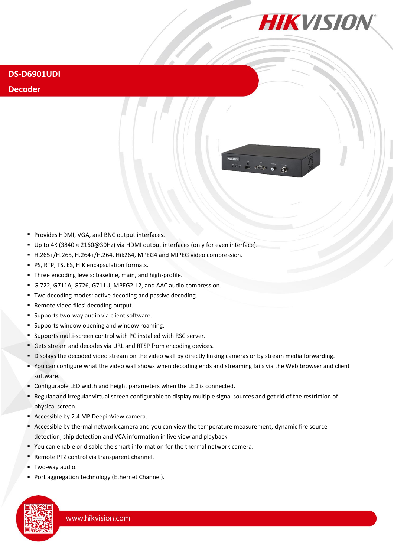

 $\overline{\phantom{a}}$ 

## **DS-D6901UDI**

## **Decoder**

- **Provides HDMI, VGA, and BNC output interfaces.**
- Up to 4K (3840 × 2160@30Hz) via HDMI output interfaces (only for even interface).
- H.265+/H.265, H.264+/H.264, Hik264, MPEG4 and MJPEG video compression.
- **PS, RTP, TS, ES, HIK encapsulation formats.**
- Three encoding levels: baseline, main, and high-profile.
- G.722, G711A, G726, G711U, MPEG2-L2, and AAC audio compression.
- Two decoding modes: active decoding and passive decoding.
- Remote video files' decoding output.
- **Supports two-way audio via client software.**
- **Supports window opening and window roaming.**
- Supports multi-screen control with PC installed with RSC server.
- Gets stream and decodes via URL and RTSP from encoding devices.
- Displays the decoded video stream on the video wall by directly linking cameras or by stream media forwarding.
- You can configure what the video wall shows when decoding ends and streaming fails via the Web browser and client software.
- Configurable LED width and height parameters when the LED is connected.
- Regular and irregular virtual screen configurable to display multiple signal sources and get rid of the restriction of physical screen.
- Accessible by 2.4 MP DeepinView camera.
- Accessible by thermal network camera and you can view the temperature measurement, dynamic fire source detection, ship detection and VCA information in live view and playback.
- You can enable or disable the smart information for the thermal network camera.
- Remote PTZ control via transparent channel.
- **Two-way audio.**
- Port aggregation technology (Ethernet Channel).

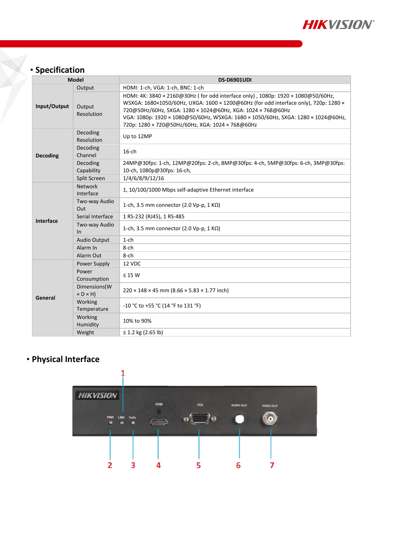

## **Specification**

| <b>Model</b>    |                                        | <b>DS-D6901UDI</b>                                                                                                                                                                                                                                                                                                                                                               |  |  |
|-----------------|----------------------------------------|----------------------------------------------------------------------------------------------------------------------------------------------------------------------------------------------------------------------------------------------------------------------------------------------------------------------------------------------------------------------------------|--|--|
| Input/Output    | Output                                 | HDMI: 1-ch, VGA: 1-ch, BNC: 1-ch                                                                                                                                                                                                                                                                                                                                                 |  |  |
|                 | Output<br>Resolution                   | HDMI: 4K: 3840 × 2160@30Hz (for odd interface only), 1080p: 1920 × 1080@50/60Hz,<br>WSXGA: 1680×1050/60Hz, UXGA: 1600 × 1200@60Hz (for odd interface only), 720p: 1280 ×<br>720@50Hz/60Hz, SXGA: 1280 × 1024@60Hz, XGA: 1024 × 768@60Hz<br>VGA: 1080p: 1920 × 1080@50/60Hz, WSXGA: 1680 × 1050/60Hz, SXGA: 1280 × 1024@60Hz,<br>720p: 1280 × 720@50Hz/60Hz, XGA: 1024 × 768@60Hz |  |  |
| <b>Decoding</b> | Decoding<br>Resolution                 | Up to 12MP                                                                                                                                                                                                                                                                                                                                                                       |  |  |
|                 | Decoding<br>Channel                    | $16$ -ch                                                                                                                                                                                                                                                                                                                                                                         |  |  |
|                 | Decoding<br>Capability                 | 24MP@30fps: 1-ch, 12MP@20fps: 2-ch, 8MP@30fps: 4-ch, 5MP@30fps: 6-ch, 3MP@30fps:<br>10-ch, 1080p@30fps: 16-ch,                                                                                                                                                                                                                                                                   |  |  |
|                 | Split Screen                           | 1/4/6/8/9/12/16                                                                                                                                                                                                                                                                                                                                                                  |  |  |
| Interface       | <b>Network</b><br>Interface            | 1, 10/100/1000 Mbps self-adaptive Ethernet interface                                                                                                                                                                                                                                                                                                                             |  |  |
|                 | Two-way Audio<br>Out                   | 1-ch, 3.5 mm connector (2.0 Vp-p, 1 K $\Omega$ )                                                                                                                                                                                                                                                                                                                                 |  |  |
|                 | Serial Interface                       | 1 RS-232 (RJ45), 1 RS-485                                                                                                                                                                                                                                                                                                                                                        |  |  |
|                 | Two-way Audio<br>In                    | 1-ch, 3.5 mm connector (2.0 Vp-p, 1 K $\Omega$ )                                                                                                                                                                                                                                                                                                                                 |  |  |
|                 | <b>Audio Output</b>                    | $1$ -ch                                                                                                                                                                                                                                                                                                                                                                          |  |  |
|                 | Alarm In                               | 8-ch                                                                                                                                                                                                                                                                                                                                                                             |  |  |
|                 | Alarm Out                              | 8-ch                                                                                                                                                                                                                                                                                                                                                                             |  |  |
| General         | Power Supply                           | 12 VDC                                                                                                                                                                                                                                                                                                                                                                           |  |  |
|                 | Power<br>Consumption                   | $\leq$ 15 W                                                                                                                                                                                                                                                                                                                                                                      |  |  |
|                 | Dimensions(W<br>$\times$ D $\times$ H) | $220 \times 148 \times 45$ mm (8.66 $\times$ 5.83 $\times$ 1.77 inch)                                                                                                                                                                                                                                                                                                            |  |  |
|                 | Working<br>Temperature                 | -10 °C to +55 °C (14 °F to 131 °F)                                                                                                                                                                                                                                                                                                                                               |  |  |
|                 | Working<br>Humidity                    | 10% to 90%                                                                                                                                                                                                                                                                                                                                                                       |  |  |
|                 | Weight                                 | ≤ 1.2 kg (2.65 lb)                                                                                                                                                                                                                                                                                                                                                               |  |  |

## **Physical Interface**